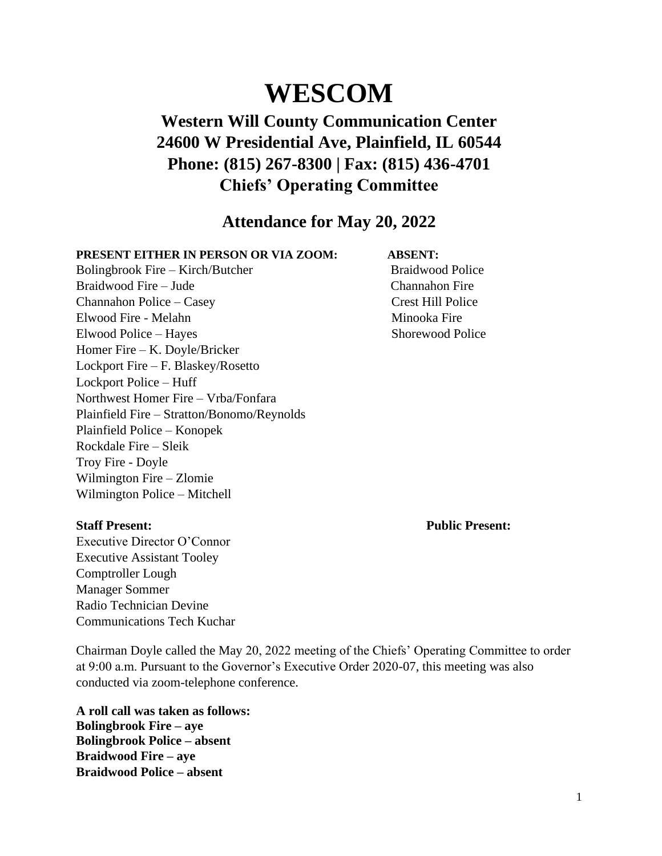# **WESCOM**

# **Western Will County Communication Center 24600 W Presidential Ave, Plainfield, IL 60544 Phone: (815) 267-8300 | Fax: (815) 436-4701 Chiefs' Operating Committee**

# **Attendance for May 20, 2022**

### **PRESENT EITHER IN PERSON OR VIA ZOOM: ABSENT:**

Bolingbrook Fire – Kirch/Butcher Braidwood Police Braidwood Fire – Jude Channahon Fire Channahon Police – Casey Crest Hill Police Elwood Fire - Melahn Minooka Fire Elwood Police – Hayes Shorewood Police Homer Fire – K. Doyle/Bricker Lockport Fire – F. Blaskey/Rosetto Lockport Police – Huff Northwest Homer Fire – Vrba/Fonfara Plainfield Fire – Stratton/Bonomo/Reynolds Plainfield Police – Konopek Rockdale Fire – Sleik Troy Fire - Doyle Wilmington Fire – Zlomie Wilmington Police – Mitchell

Executive Director O'Connor Executive Assistant Tooley Comptroller Lough Manager Sommer Radio Technician Devine Communications Tech Kuchar

**Staff Present: Public Present:**

Chairman Doyle called the May 20, 2022 meeting of the Chiefs' Operating Committee to order at 9:00 a.m. Pursuant to the Governor's Executive Order 2020-07, this meeting was also conducted via zoom-telephone conference.

**A roll call was taken as follows: Bolingbrook Fire – aye Bolingbrook Police – absent Braidwood Fire – aye Braidwood Police – absent**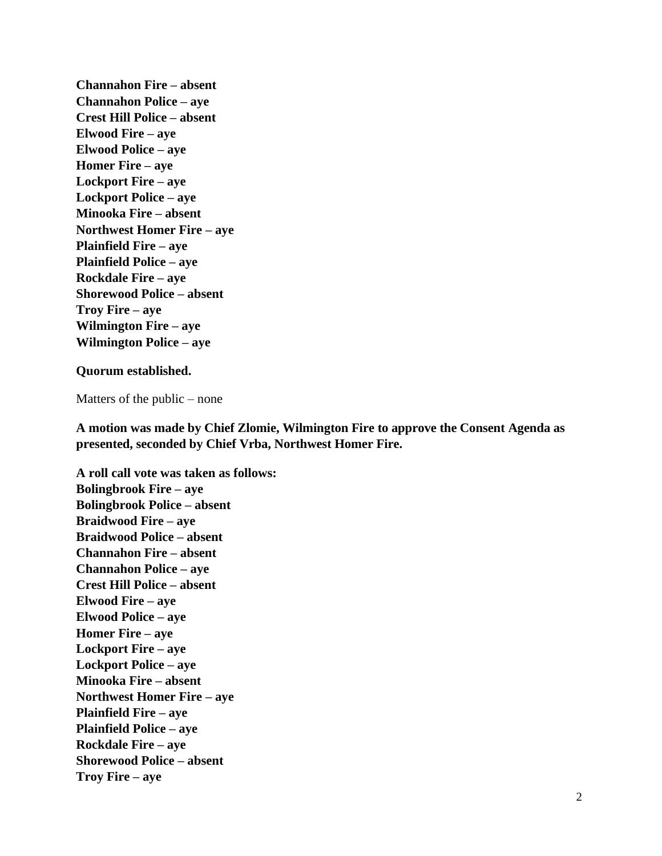**Channahon Fire – absent Channahon Police – aye Crest Hill Police – absent Elwood Fire – aye Elwood Police – aye Homer Fire – aye Lockport Fire – aye Lockport Police – aye Minooka Fire – absent Northwest Homer Fire – aye Plainfield Fire – aye Plainfield Police – aye Rockdale Fire – aye Shorewood Police – absent Troy Fire – aye Wilmington Fire – aye Wilmington Police – aye**

### **Quorum established.**

Matters of the public – none

**A motion was made by Chief Zlomie, Wilmington Fire to approve the Consent Agenda as presented, seconded by Chief Vrba, Northwest Homer Fire.**

**A roll call vote was taken as follows: Bolingbrook Fire – aye Bolingbrook Police – absent Braidwood Fire – aye Braidwood Police – absent Channahon Fire – absent Channahon Police – aye Crest Hill Police – absent Elwood Fire – aye Elwood Police – aye Homer Fire – aye Lockport Fire – aye Lockport Police – aye Minooka Fire – absent Northwest Homer Fire – aye Plainfield Fire – aye Plainfield Police – aye Rockdale Fire – aye Shorewood Police – absent Troy Fire – aye**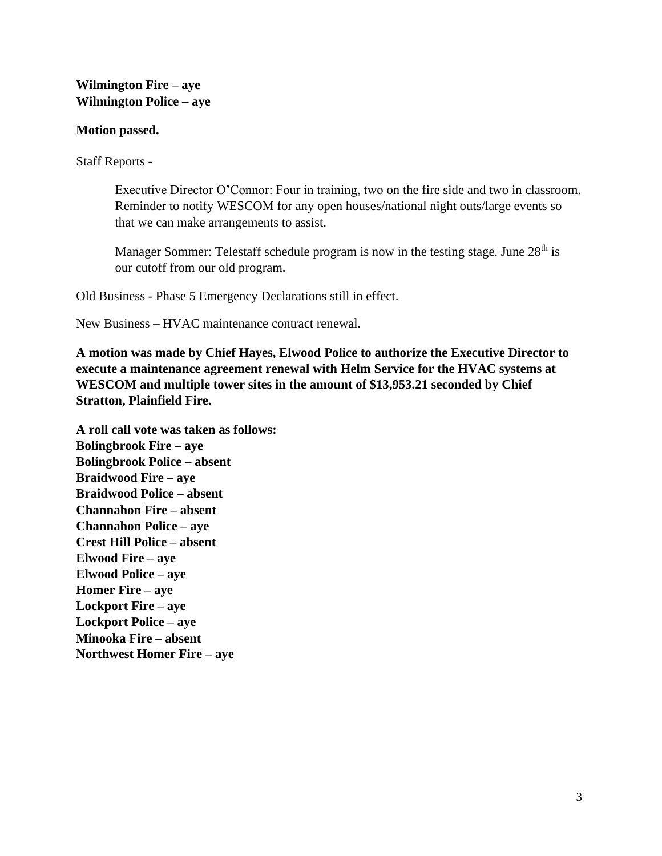# **Wilmington Fire – aye Wilmington Police – aye**

# **Motion passed.**

Staff Reports -

Executive Director O'Connor: Four in training, two on the fire side and two in classroom. Reminder to notify WESCOM for any open houses/national night outs/large events so that we can make arrangements to assist.

Manager Sommer: Telestaff schedule program is now in the testing stage. June 28<sup>th</sup> is our cutoff from our old program.

Old Business - Phase 5 Emergency Declarations still in effect.

New Business – HVAC maintenance contract renewal.

**A motion was made by Chief Hayes, Elwood Police to authorize the Executive Director to execute a maintenance agreement renewal with Helm Service for the HVAC systems at WESCOM and multiple tower sites in the amount of \$13,953.21 seconded by Chief Stratton, Plainfield Fire.**

**A roll call vote was taken as follows: Bolingbrook Fire – aye Bolingbrook Police – absent Braidwood Fire – aye Braidwood Police – absent Channahon Fire – absent Channahon Police – aye Crest Hill Police – absent Elwood Fire – aye Elwood Police – aye Homer Fire – aye Lockport Fire – aye Lockport Police – aye Minooka Fire – absent Northwest Homer Fire – aye**